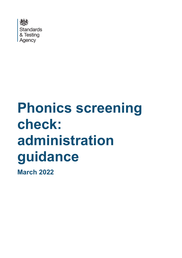

# **Phonics screening check: administration guidance**

**March 2022**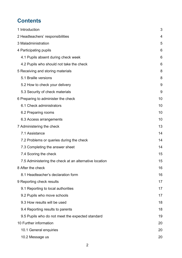# **Contents**

| 1 Introduction                                         | 3  |
|--------------------------------------------------------|----|
| 2 Headteachers' responsibilities                       | 4  |
| 3 Maladministration                                    | 5  |
| 4 Participating pupils                                 | 6  |
| 4.1 Pupils absent during check week                    | 6  |
| 4.2 Pupils who should not take the check               | 6  |
| 5 Receiving and storing materials                      | 8  |
| 5.1 Braille versions                                   | 8  |
| 5.2 How to check your delivery                         | 9  |
| 5.3 Security of check materials                        | 9  |
| 6 Preparing to administer the check                    | 10 |
| 6.1 Check administrators                               | 10 |
| 6.2 Preparing rooms                                    | 10 |
| 6.3 Access arrangements                                | 10 |
| 7 Administering the check                              | 13 |
| 7.1 Assistance                                         | 14 |
| 7.2 Problems or queries during the check               | 14 |
| 7.3 Completing the answer sheet                        | 14 |
| 7.4 Scoring the check                                  | 15 |
| 7.5 Administering the check at an alternative location | 15 |
| 8 After the check                                      | 16 |
| 8.1 Headteacher's declaration form                     | 16 |
| 9 Reporting check results                              | 17 |
| 9.1 Reporting to local authorities                     | 17 |
| 9.2 Pupils who move schools                            | 17 |
| 9.3 How results will be used                           | 18 |
| 9.4 Reporting results to parents                       | 18 |
| 9.5 Pupils who do not meet the expected standard       | 19 |
| 10 Further information                                 | 20 |
| 10.1 General enquiries                                 | 20 |
| 10.2 Message us                                        | 20 |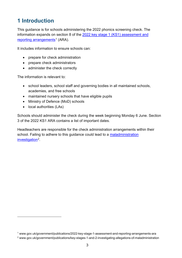# <span id="page-2-0"></span>**1 Introduction**

This guidance is for schools administering the 2022 phonics screening check. The information expands on section 8 of the [2022 key stage 1 \(KS1\) assessment and](https://www.gov.uk/government/publications/2022-key-stage-1-assessment-and-reporting-arrangements-ara)  [reporting arrangements](https://www.gov.uk/government/publications/2022-key-stage-1-assessment-and-reporting-arrangements-ara)<sup>[1](#page-2-1)</sup> (ARA).

It includes information to ensure schools can:

- prepare for check administration
- prepare check administrators
- administer the check correctly

The information is relevant to:

- school leaders, school staff and governing bodies in all maintained schools, academies, and free schools
- maintained nursery schools that have eligible pupils
- Ministry of Defence (MoD) schools
- local authorities (LAs)

Schools should administer the check during the week beginning Monday 6 June. Section 3 of the 2022 KS1 ARA contains a list of important dates.

Headteachers are responsible for the check administration arrangements within their school. Failing to adhere to this guidance could lead to a maladministration [investigation](http://www.gov.uk/government/publications/key-stages-1-and-2-investigating-allegations-of-maladministration)<sup>[2](#page-2-2)</sup>.

<span id="page-2-1"></span><sup>1</sup> www.gov.uk/government/publications/2022-key-stage-1-assessment-and-reporting-arrangements-ara

<span id="page-2-2"></span><sup>2</sup> www.gov.uk/government/publications/key-stages-1-and-2-investigating-allegations-of-maladministration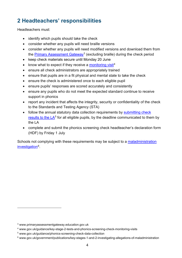# <span id="page-3-0"></span>**2 Headteachers' responsibilities**

Headteachers must:

- identify which pupils should take the check
- consider whether any pupils will need braille versions
- consider whether any pupils will need modified versions and download them from the [Primary Assessment Gateway](https://www.primaryassessmentgateway.education.gov.uk/publicaccessproduction/selfservice/citizenportal/login.htm)<sup>[3](#page-3-1)</sup> (excluding braille) during the check period
- keep check materials secure until Monday 20 June
- know what to expect if they receive a [monitoring visit](https://www.gov.uk/guidance/key-stage-2-tests-and-phonics-screening-check-monitoring-visits)<sup>[4](#page-3-2)</sup>
- ensure all check administrators are appropriately trained
- ensure that pupils are in a fit physical and mental state to take the check
- ensure the check is administered once to each eligible pupil
- ensure pupils' responses are scored accurately and consistently
- ensure any pupils who do not meet the expected standard continue to receive support in phonics
- report any incident that affects the integrity, security or confidentiality of the check to the Standards and Testing Agency (STA)
- follow the annual statutory data collection requirements by submitting check results to the  $LA<sup>5</sup>$  $LA<sup>5</sup>$  $LA<sup>5</sup>$  for all eligible pupils, by the deadline communicated to them by the LA
- complete and submit the phonics screening check headteacher's declaration form (HDF) by Friday 1 July

Schools not complying with these requirements may be subject to a maladministration [investigation](http://www.gov.uk/government/publications/key-stages-1-and-2-investigating-allegations-of-maladministration)[6](#page-3-4).

<span id="page-3-1"></span><sup>3</sup> www.primaryassessmentgateway.education.gov.uk

<span id="page-3-2"></span><sup>4</sup> www.gov.uk/guidance/key-stage-2-tests-and-phonics-screening-check-monitoring-visits

<span id="page-3-3"></span><sup>5</sup> www.gov.uk/guidance/phonics-screening-check-data-collection

<span id="page-3-4"></span><sup>6</sup> www.gov.uk/government/publications/key-stages-1-and-2-investigating-allegations-of-maladministration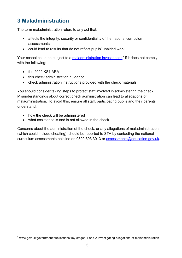# <span id="page-4-0"></span>**3 Maladministration**

The term maladministration refers to any act that:

- affects the integrity, security or confidentiality of the national curriculum assessments
- could lead to results that do not reflect pupils' unaided work

Your school could be subject to a [maladministration investigation](https://www.gov.uk/government/publications/key-stages-1-and-2-investigating-allegations-of-maladministration)<sup>[7](#page-4-1)</sup> if it does not comply with the following:

- the 2022 KS1 ARA
- this check administration guidance
- check administration instructions provided with the check materials

You should consider taking steps to protect staff involved in administering the check. Misunderstandings about correct check administration can lead to allegations of maladministration. To avoid this, ensure all staff, participating pupils and their parents understand:

- how the check will be administered
- what assistance is and is not allowed in the check

Concerns about the administration of the check, or any allegations of maladministration (which could include cheating), should be reported to STA by contacting the national curriculum assessments helpline on 0300 303 3013 or [assessments@education.gov.uk.](mailto:assessments@education.gov.uk)

<span id="page-4-1"></span><sup>7</sup> www.gov.uk/government/publications/key-stages-1-and-2-investigating-allegations-of-maladministration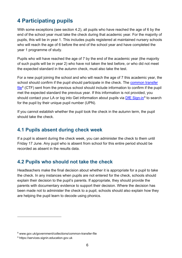# <span id="page-5-0"></span>**4 Participating pupils**

With some exceptions (see section 4.2), all pupils who have reached the age of 6 by the end of the school year must take the check during that academic year. For the majority of pupils, this will be in year 1. This includes pupils registered at maintained nursery schools who will reach the age of 6 before the end of the school year and have completed the year 1 programme of study.

Pupils who will have reached the age of 7 by the end of the academic year (the majority of such pupils will be in year 2) who have not taken the test before, or who did not meet the expected standard in the autumn check, must also take the test.

For a new pupil joining the school and who will reach the age of 7 this academic year, the school should confirm if the pupil should participate in the check. The [common transfer](https://www.gov.uk/government/collections/common-transfer-file)   $file<sup>8</sup> (CTF)$  $file<sup>8</sup> (CTF)$  $file<sup>8</sup> (CTF)$  $file<sup>8</sup> (CTF)$  sent from the previous school should include information to confirm if the pupil met the expected standard the previous year. If this information is not provided, you should contact your LA or log into Get information about pupils via [DfE Sign-in](https://services.signin.education.gov.uk/)<sup>[9](#page-5-4)</sup> to search for the pupil by their unique pupil number (UPN).

If you cannot establish whether the pupil took the check in the autumn term, the pupil should take the check.

## <span id="page-5-1"></span>**4.1 Pupils absent during check week**

If a pupil is absent during the check week, you can administer the check to them until Friday 17 June. Any pupil who is absent from school for this entire period should be recorded as absent in the results data.

## <span id="page-5-2"></span>**4.2 Pupils who should not take the check**

Headteachers make the final decision about whether it is appropriate for a pupil to take the check. In any instances when pupils are not entered for the check, schools should explain their decision to the pupil's parents. If appropriate, they should provide the parents with documentary evidence to support their decision. Where the decision has been made not to administer the check to a pupil, schools should also explain how they are helping the pupil learn to decode using phonics.

<span id="page-5-3"></span><sup>8</sup> www.gov.uk/government/collections/common-transfer-file

<span id="page-5-4"></span><sup>9</sup> https://services.signin.education.gov.uk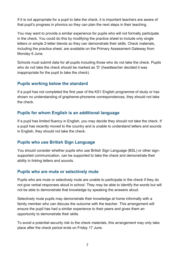If it is not appropriate for a pupil to take the check, it is important teachers are aware of that pupil's progress in phonics so they can plan the next steps in their teaching.

You may want to provide a similar experience for pupils who will not formally participate in the check. You could do this by modifying the practice sheet to include only single letters or simple 2-letter blends so they can demonstrate their skills. Check materials, including the practice sheet, are available on the Primary Assessment Gateway from Monday 6 June.

Schools must submit data for all pupils including those who do not take the check. Pupils who do not take the check should be marked as 'D' (headteacher decided it was inappropriate for the pupil to take the check).

#### **Pupils working below the standard**

If a pupil has not completed the first year of the KS1 English programme of study or has shown no understanding of grapheme-phoneme correspondences, they should not take the check.

#### **Pupils for whom English is an additional language**

If a pupil has limited fluency in English, you may decide they should not take the check. If a pupil has recently moved to the country and is unable to understand letters and sounds in English, they should not take the check.

#### **Pupils who use British Sign Language**

You should consider whether pupils who use British Sign Language (BSL) or other signsupported communication, can be supported to take the check and demonstrate their ability in linking letters and sounds.

#### **Pupils who are mute or selectively mute**

Pupils who are mute or selectively mute are unable to participate in the check if they do not give verbal responses aloud in school. They may be able to identify the words but will not be able to demonstrate that knowledge by speaking the answers aloud.

Selectively mute pupils may demonstrate their knowledge at home informally with a family member who can discuss the outcome with the teacher. This arrangement will ensure the pupil has had a similar experience to their peers and gives them an opportunity to demonstrate their skills.

To avoid a potential security risk to the check materials, this arrangement may only take place after the check period ends on Friday 17 June.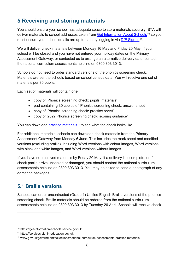# <span id="page-7-0"></span>**5 Receiving and storing materials**

You should ensure your school has adequate space to store materials securely. STA will deliver materials to school addresses taken from [Get Information About Schools](https://get-information-schools.service.gov.uk/)<sup>[10](#page-7-2)</sup> so you must ensure your school details are up to date by logging in via [DfE Sign-in](https://services.signin.education.gov.uk/)<sup>11</sup>.

We will deliver check materials between Monday 16 May and Friday 20 May. If your school will be closed and you have not entered your holiday dates on the Primary Assessment Gateway, or contacted us to arrange an alternative delivery date, contact the national curriculum assessments helpline on 0300 303 3013.

Schools do not need to order standard versions of the phonics screening check. Materials are sent to schools based on school census data. You will receive one set of materials per 30 pupils.

Each set of materials will contain one:

- copy of 'Phonics screening check: pupils' materials'
- pad containing 30 copies of 'Phonics screening check: answer sheet'
- copy of 'Phonics screening check: practice sheet'
- copy of '2022 Phonics screening check: scoring guidance'

You can download [practice materials](https://www.gov.uk/government/collections/national-curriculum-assessments-practice-materials)<sup>[12](#page-7-4)</sup> to see what the check looks like.

For additional materials, schools can download check materials from the Primary Assessment Gateway from Monday 6 June. This includes the mark sheet and modified versions (excluding braille), including Word versions with colour images, Word versions with black and white images, and Word versions without images.

If you have not received materials by Friday 20 May, if a delivery is incomplete, or if check packs arrive unsealed or damaged, you should contact the national curriculum assessments helpline on 0300 303 3013. You may be asked to send a photograph of any damaged packages.

## <span id="page-7-1"></span>**5.1 Braille versions**

Schools can order uncontracted (Grade 1) Unified English Braille versions of the phonics screening check. Braille materials should be ordered from the national curriculum assessments helpline on 0300 303 3013 by Tuesday 26 April. Schools will receive check

<span id="page-7-2"></span><sup>10</sup> https://get-information-schools.service.gov.uk

<span id="page-7-3"></span><sup>11</sup> https://services.signin.education.gov.uk

<span id="page-7-4"></span><sup>12</sup> www.gov.uk/government/collections/national-curriculum-assessments-practice-materials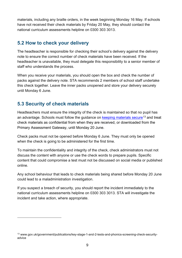materials, including any braille orders, in the week beginning Monday 16 May. If schools have not received their check materials by Friday 20 May, they should contact the national curriculum assessments helpline on 0300 303 3013.

## <span id="page-8-0"></span>**5.2 How to check your delivery**

The headteacher is responsible for checking their school's delivery against the delivery note to ensure the correct number of check materials have been received. If the headteacher is unavailable, they must delegate this responsibility to a senior member of staff who understands the process.

When you receive your materials, you should open the box and check the number of packs against the delivery note. STA recommends 2 members of school staff undertake this check together. Leave the inner packs unopened and store your delivery securely until Monday 6 June.

## <span id="page-8-1"></span>**5.3 Security of check materials**

Headteachers must ensure the integrity of the check is maintained so that no pupil has an advantage. Schools must follow the guidance on [keeping materials secure](https://www.gov.uk/government/publications/key-stage-1-and-2-tests-and-phonics-screening-check-security-advice)<sup>[13](#page-8-2)</sup> and treat check materials as confidential from when they are received, or downloaded from the Primary Assessment Gateway, until Monday 20 June.

Check packs must not be opened before Monday 6 June. They must only be opened when the check is going to be administered for the first time.

To maintain the confidentiality and integrity of the check, check administrators must not discuss the content with anyone or use the check words to prepare pupils. Specific content that could compromise a test must not be discussed on social media or published online.

Any school behaviour that leads to check materials being shared before Monday 20 June could lead to a maladministration investigation.

If you suspect a breach of security, you should report the incident immediately to the national curriculum assessments helpline on 0300 303 3013. STA will investigate the incident and take action, where appropriate.

<span id="page-8-2"></span><sup>13</sup> www.gov.uk/government/publications/key-stage-1-and-2-tests-and-phonics-screening-check-securityadvice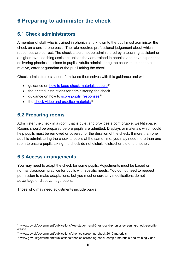# <span id="page-9-0"></span>**6 Preparing to administer the check**

## <span id="page-9-1"></span>**6.1 Check administrators**

A member of staff who is trained in phonics and known to the pupil must administer the check on a one-to-one basis. The role requires professional judgement about which responses are correct. The check should not be administered by a teaching assistant or a higher-level teaching assistant unless they are trained in phonics and have experience delivering phonics sessions to pupils. Adults administering the check must not be a relative, carer or guardian of the pupil taking the check.

Check administrators should familiarise themselves with this guidance and with:

- quidance on [how to keep check materials secure](https://www.gov.uk/government/publications/key-stage-1-and-2-tests-and-phonics-screening-check-security-advice)<sup>[14](#page-9-4)</sup>
- the printed instructions for administering the check
- quidance on how to score pupils' responses<sup>15</sup>
- $\bullet$  the check video and practice materials<sup>16</sup>

#### <span id="page-9-2"></span>**6.2 Preparing rooms**

Administer the check in a room that is quiet and provides a comfortable, well-lit space. Rooms should be prepared before pupils are admitted. Displays or materials which could help pupils must be removed or covered for the duration of the check. If more than one adult is administering the check to pupils at the same time, you may need more than one room to ensure pupils taking the check do not disturb, distract or aid one another.

#### <span id="page-9-3"></span>**6.3 Access arrangements**

You may need to adapt the check for some pupils. Adjustments must be based on normal classroom practice for pupils with specific needs. You do not need to request permission to make adaptations, but you must ensure any modifications do not advantage or disadvantage pupils.

Those who may need adjustments include pupils:

<span id="page-9-4"></span><sup>14</sup> www.gov.uk/government/publications/key-stage-1-and-2-tests-and-phonics-screening-check-securityadvice

<span id="page-9-5"></span><sup>15</sup> www.gov.uk/government/publications/phonics-screening-check-2019-materials

<span id="page-9-6"></span><sup>16</sup> www.gov.uk/government/publications/phonics-screening-check-sample-materials-and-training-video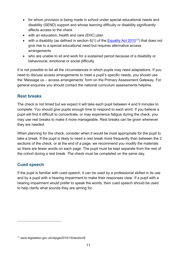- for whom provision is being made in school under special educational needs and disability (SEND) support and whose learning difficulty or disability significantly affects access to the check
- with an education, health and care (EHC) plan
- with a disability (as defined in section  $6(1)$  of the [Equality Act 2010](http://www.legislation.gov.uk/ukpga/2010/15/section/6)<sup>[17](#page-10-0)</sup>) that does not give rise to a special educational need but requires alternative access **arrangements**
- who are unable to sit and work for a sustained period because of a disability or behavioural, emotional or social difficulty

It is not possible to list all the circumstances in which pupils may need adaptations. If you need to discuss access arrangements to meet a pupil's specific needs, you should use the 'Message us – access arrangements' form on the Primary Assessment Gateway. For general enquiries you should contact the national curriculum assessments helpline.

#### **Rest breaks**

The check is not timed but we expect it will take each pupil between 4 and 9 minutes to complete. You should give pupils enough time to respond to each word. If you believe a pupil will find it difficult to concentrate, or may experience fatigue during the check, you may use rest breaks to make it more manageable. Rest breaks can be given whenever they are needed.

When planning for the check, consider when it would be most appropriate for the pupil to take a break. If the pupil is likely to need a rest break more frequently than between the 2 sections of the check, or at the end of a page, we recommend you modify the materials so there are fewer words on each page. The pupil must be kept separate from the rest of the cohort during a rest break. The check must be completed on the same day.

#### **Cued speech**

If the pupil is familiar with cued speech, it can be used by a professional skilled in its use and by a pupil with a hearing impairment to make their responses clear. If a pupil with a hearing impairment would prefer to speak the words, then cued speech should be used to help clarify what sounds they are aiming for.

<span id="page-10-0"></span><sup>17</sup> www.legislation.gov.uk/ukpga/2010/15/section/6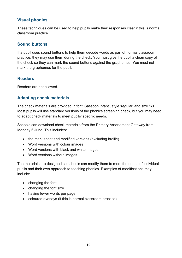#### **Visual phonics**

These techniques can be used to help pupils make their responses clear if this is normal classroom practice.

#### **Sound buttons**

If a pupil uses sound buttons to help them decode words as part of normal classroom practice, they may use them during the check. You must give the pupil a clean copy of the check so they can mark the sound buttons against the graphemes. You must not mark the graphemes for the pupil.

#### **Readers**

Readers are not allowed.

#### **Adapting check materials**

The check materials are provided in font 'Sassoon Infant', style 'regular' and size '60'. Most pupils will use standard versions of the phonics screening check, but you may need to adapt check materials to meet pupils' specific needs.

Schools can download check materials from the Primary Assessment Gateway from Monday 6 June. This includes:

- the mark sheet and modified versions (excluding braille)
- Word versions with colour images
- Word versions with black and white images
- Word versions without images

The materials are designed so schools can modify them to meet the needs of individual pupils and their own approach to teaching phonics. Examples of modifications may include:

- changing the font
- changing the font size
- having fewer words per page
- coloured overlays (if this is normal classroom practice)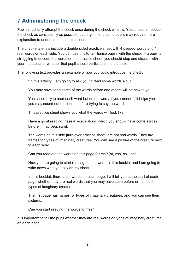# <span id="page-12-0"></span>**7 Administering the check**

Pupils must only attempt the check once during the check window. You should introduce the check as consistently as possible, bearing in mind some pupils may require more explanation to understand the instructions.

The check materials include a double-sided practice sheet with 4 pseudo-words and 4 real words on each side. You can use this to familiarise pupils with the check. If a pupil is struggling to decode the words on the practice sheet, you should stop and discuss with your headteacher whether that pupil should participate in the check.

The following text provides an example of how you could introduce the check:

"In this activity, I am going to ask you to read some words aloud.

You may have seen some of the words before and others will be new to you.

You should try to read each word but do not worry if you cannot. If it helps you, you may sound out the letters before trying to say the word.

This practice sheet shows you what the words will look like.

Have a go at reading these 4 words aloud, which you should have come across before [in, at, beg, sum].

The words on this side [turn over practice sheet] are not real words. They are names for types of imaginary creatures. You can see a picture of the creature next to each word.

Can you read out the words on this page for me? [ot, vap, osk, ect]

Now you are going to start reading out the words in this booklet and I am going to write down what you say on my sheet.

In this booklet, there are 4 words on each page. I will tell you at the start of each page whether they are real words that you may have seen before or names for types of imaginary creatures.

The first page has names for types of imaginary creatures, and you can see their pictures.

Can you start reading the words to me?"

It is important to tell the pupil whether they are real words or types of imaginary creatures on each page.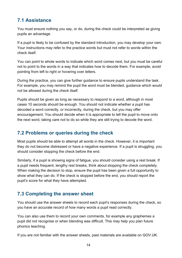## <span id="page-13-0"></span>**7.1 Assistance**

You must ensure nothing you say, or do, during the check could be interpreted as giving pupils an advantage.

If a pupil is likely to be confused by the standard introduction, you may develop your own. Your instructions may refer to the practice words but must not refer to words within the check itself.

You can point to whole words to indicate which word comes next, but you must be careful not to point to the words in a way that indicates how to decode them. For example, avoid pointing from left to right or hovering over letters.

During the practice, you can give further guidance to ensure pupils understand the task. For example, you may remind the pupil the word must be blended, guidance which would not be allowed during the check itself.

Pupils should be given as long as necessary to respond to a word, although in most cases 10 seconds should be enough. You should not indicate whether a pupil has decoded a word correctly, or incorrectly, during the check, but you may offer encouragement. You should decide when it is appropriate to tell the pupil to move onto the next word, taking care not to do so while they are still trying to decode the word.

## <span id="page-13-1"></span>**7.2 Problems or queries during the check**

Most pupils should be able to attempt all words in the check. However, it is important they do not become distressed or have a negative experience. If a pupil is struggling, you should consider stopping the check before the end.

Similarly, if a pupil is showing signs of fatigue, you should consider using a rest break. If a pupil needs frequent, lengthy rest breaks, think about stopping the check completely. When making the decision to stop, ensure the pupil has been given a full opportunity to show what they can do. If the check is stopped before the end, you should report the pupil's score for what they have attempted.

## <span id="page-13-2"></span>**7.3 Completing the answer sheet**

You should use the answer sheets to record each pupil's responses during the check, so you have an accurate record of how many words a pupil read correctly.

You can also use them to record your own comments, for example any graphemes a pupil did not recognise or when blending was difficult. This may help you plan future phonics teaching.

If you are not familiar with the answer sheets, past materials are available on GOV.UK.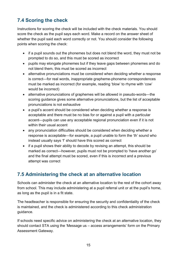## <span id="page-14-0"></span>**7.4 Scoring the check**

Instructions for scoring the check will be included with the check materials. You should score the check as the pupil says each word. Make a record on the answer sheet of whether the pupil said each word correctly or not. You should consider the following points when scoring the check:

- if a pupil sounds out the phonemes but does not blend the word, they must not be prompted to do so, and this must be scored as incorrect
- pupils may elongate phonemes but if they leave gaps between phonemes and do not blend them, this must be scored as incorrect
- alternative pronunciations must be considered when deciding whether a response is correct—for real words, inappropriate grapheme-phoneme correspondences must be marked as incorrect (for example, reading 'blow' to rhyme with 'cow' would be incorrect)
- alternative pronunciations of graphemes will be allowed in pseudo-words—the scoring guidance gives some alternative pronunciations, but the list of acceptable pronunciations is not exhaustive
- a pupil's accent should be considered when deciding whether a response is acceptable and there must be no bias for or against a pupil with a particular accent—pupils can use any acceptable regional pronunciation even if it is not within their usual accent
- any pronunciation difficulties should be considered when deciding whether a response is acceptable—for example, a pupil unable to form the 'th' sound who instead usually says 'f' should have this scored as correct
- if a pupil shows their ability to decode by revising an attempt, this should be marked as correct—however, pupils must not be prompted to 'have another go' and the final attempt must be scored, even if this is incorrect and a previous attempt was correct

## <span id="page-14-1"></span>**7.5 Administering the check at an alternative location**

Schools can administer the check at an alternative location to the rest of the cohort away from school. This may include administering at a pupil referral unit or at the pupil's home, as long as the pupil is in a fit state.

The headteacher is responsible for ensuring the security and confidentiality of the check is maintained, and the check is administered according to this check administration guidance.

If schools need specific advice on administering the check at an alternative location, they should contact STA using the 'Message us – access arrangements' form on the Primary Assessment Gateway.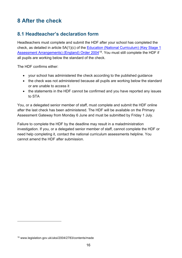# <span id="page-15-0"></span>**8 After the check**

## <span id="page-15-1"></span>**8.1 Headteacher's declaration form**

Headteachers must complete and submit the HDF after your school has completed the check, as detailed in article 5A(1)(c) of the [Education \(National Curriculum\) \(Key Stage 1](http://www.legislation.gov.uk/uksi/2004/2783/contents/made)  [Assessment Arrangements\) \(England\) Order 2004](http://www.legislation.gov.uk/uksi/2004/2783/contents/made)[18.](#page-15-2) You must still complete the HDF if all pupils are working below the standard of the check.

The HDF confirms either:

- your school has administered the check according to the published guidance
- the check was not administered because all pupils are working below the standard or are unable to access it
- the statements in the HDF cannot be confirmed and you have reported any issues to STA

You, or a delegated senior member of staff, must complete and submit the HDF online after the last check has been administered. The HDF will be available on the Primary Assessment Gateway from Monday 6 June and must be submitted by Friday 1 July.

Failure to complete the HDF by the deadline may result in a maladministration investigation. If you, or a delegated senior member of staff, cannot complete the HDF or need help completing it, contact the national curriculum assessments helpline. You cannot amend the HDF after submission.

<span id="page-15-2"></span><sup>18</sup> www.legislation.gov.uk/uksi/2004/2783/contents/made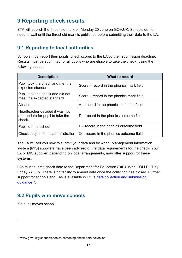# <span id="page-16-0"></span>**9 Reporting check results**

STA will publish the threshold mark on Monday 20 June on GOV.UK. Schools do not need to wait until the threshold mark is published before submitting their data to the LA.

## <span id="page-16-1"></span>**9.1 Reporting to local authorities**

Schools must report their pupils' check scores to the LA by their submission deadline. Results must be submitted for all pupils who are eligible to take the check, using the following codes:

| <b>Description</b>                                                           | What to record                            |
|------------------------------------------------------------------------------|-------------------------------------------|
| Pupil took the check and met the<br>expected standard                        | Score – record in the phonics mark field  |
| Pupil took the check and did not<br>meet the expected standard               | Score – record in the phonics mark field  |
| Absent                                                                       | $A$ – record in the phonics outcome field |
| Headteacher decided it was not<br>appropriate for pupil to take the<br>check | $D$ – record in the phonics outcome field |
| Pupil left the school                                                        | $L$ – record in the phonics outcome field |
| Check subject to maladministration                                           | $Q$ – record in the phonics outcome field |

The LA will tell you how to submit your data and by when. Management information system (MIS) suppliers have been advised of the data requirements for the check. Your LA or MIS supplier, depending on local arrangements, may offer support for these systems.

LAs must submit check data to the Department for Education (DfE) using COLLECT by Friday 22 July. There is no facility to amend data once the collection has closed. Further support for schools and LAs is available in DfE's [data collection and submission](https://www.gov.uk/guidance/phonics-screening-check-data-collection)  [guidance](https://www.gov.uk/guidance/phonics-screening-check-data-collection)<sup>19</sup>.

## <span id="page-16-2"></span>**9.2 Pupils who move schools**

If a pupil moves school:

<span id="page-16-3"></span><sup>19</sup> www.gov.uk/guidance/phonics-screening-check-data-collection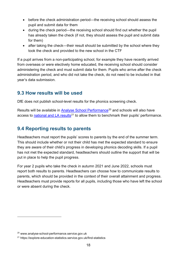- before the check administration period—the receiving school should assess the pupil and submit data for them
- during the check period—the receiving school should find out whether the pupil has already taken the check (if not, they should assess the pupil and submit data for them)
- after taking the check—their result should be submitted by the school where they took the check and provided to the new school in the CTF

If a pupil arrives from a non-participating school, for example they have recently arrived from overseas or were electively home educated, the receiving school should consider administering the check and must submit data for them. Pupils who arrive after the check administration period, and who did not take the check, do not need to be included in that year's data submission.

## <span id="page-17-0"></span>**9.3 How results will be used**

DfE does not publish school-level results for the phonics screening check.

Results will be available in [Analyse School Performance](http://www.analyse-school-performance.service.gov.uk/)<sup>[20](#page-17-2)</sup> and schools will also have access to national [and LA results](https://explore-education-statistics.service.gov.uk/find-statistics)<sup>[21](#page-17-3)</sup> to allow them to benchmark their pupils' performance.

## <span id="page-17-1"></span>**9.4 Reporting results to parents**

Headteachers must report the pupils' scores to parents by the end of the summer term. This should include whether or not their child has met the expected standard to ensure they are aware of their child's progress in developing phonics decoding skills. If a pupil has not met the expected standard, headteachers should outline the support that will be put in place to help the pupil progress.

For year 2 pupils who take the check in autumn 2021 and June 2022, schools must report both results to parents. Headteachers can choose how to communicate results to parents, which should be provided in the context of their overall attainment and progress. Headteachers must provide reports for all pupils, including those who have left the school or were absent during the check.

<span id="page-17-2"></span><sup>20</sup> www.analyse-school-performance.service.gov.uk

<span id="page-17-3"></span><sup>21</sup> https://explore-education-statistics.service.gov.uk/find-statistics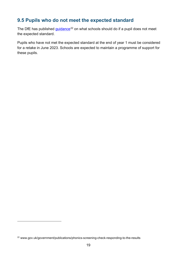## <span id="page-18-0"></span>**9.5 Pupils who do not meet the expected standard**

The DfE has published [guidance](https://www.gov.uk/government/publications/phonics-screening-check-responding-to-the-results)<sup>[22](#page-18-1)</sup> on what schools should do if a pupil does not meet the expected standard.

Pupils who have not met the expected standard at the end of year 1 must be considered for a retake in June 2023. Schools are expected to maintain a programme of support for these pupils.

<span id="page-18-1"></span><sup>22</sup> www.gov.uk/government/publications/phonics-screening-check-responding-to-the-results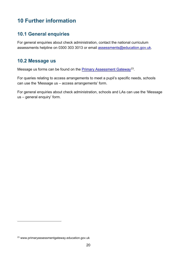# <span id="page-19-0"></span>**10 Further information**

## <span id="page-19-1"></span>**10.1 General enquiries**

For general enquiries about check administration, contact the national curriculum assessments helpline on 0300 303 3013 or email [assessments@education.gov.uk.](mailto:assessments@education.gov.uk)

## <span id="page-19-2"></span>**10.2 Message us**

Message us forms can be found on the **Primary Assessment Gateway**<sup>23</sup>.

For queries relating to access arrangements to meet a pupil's specific needs, schools can use the 'Message us – access arrangements' form.

For general enquiries about check administration, schools and LAs can use the 'Message us – general enquiry' form.

<span id="page-19-3"></span><sup>23</sup> www.primaryassessmentgateway.education.gov.uk